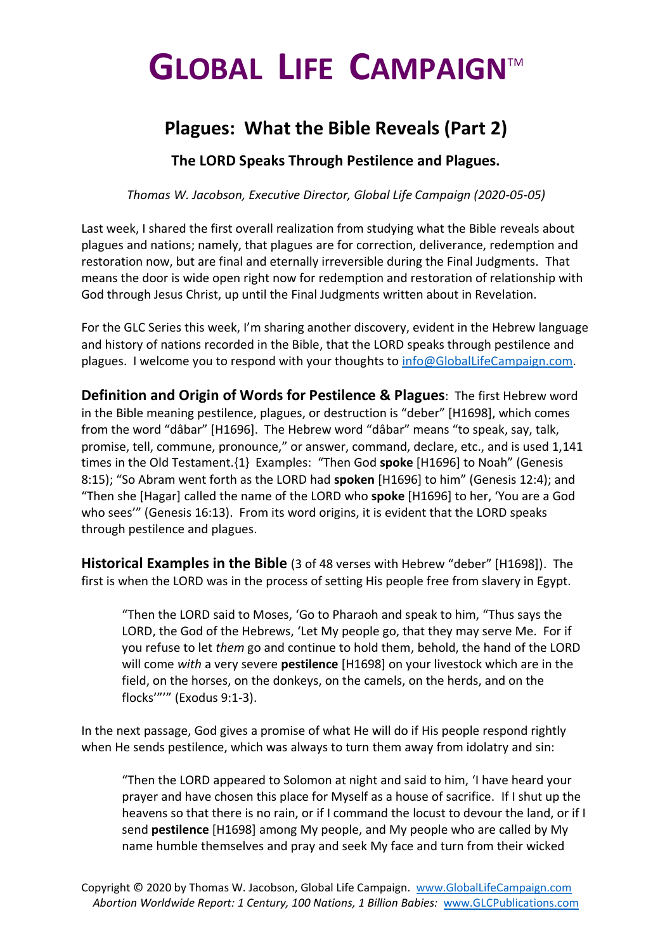## **GLOBAL LIFE CAMPAIGN**TM

## **Plagues: What the Bible Reveals (Part 2)**

**The LORD Speaks Through Pestilence and Plagues.**

*Thomas W. Jacobson, Executive Director, Global Life Campaign (2020-05-05)*

Last week, I shared the first overall realization from studying what the Bible reveals about plagues and nations; namely, that plagues are for correction, deliverance, redemption and restoration now, but are final and eternally irreversible during the Final Judgments. That means the door is wide open right now for redemption and restoration of relationship with God through Jesus Christ, up until the Final Judgments written about in Revelation.

For the GLC Series this week, I'm sharing another discovery, evident in the Hebrew language and history of nations recorded in the Bible, that the LORD speaks through pestilence and plagues. I welcome you to respond with your thoughts to [info@GlobalLifeCampaign.com.](mailto:info@GlobalLifeCampaign.com)

**Definition and Origin of Words for Pestilence & Plagues**: The first Hebrew word in the Bible meaning pestilence, plagues, or destruction is "deber" [H1698], which comes from the word "dâbar" [H1696]. The Hebrew word "dâbar" means "to speak, say, talk, promise, tell, commune, pronounce," or answer, command, declare, etc., and is used 1,141 times in the Old Testament.{1} Examples: "Then God **spoke** [H1696] to Noah" (Genesis 8:15); "So Abram went forth as the LORD had **spoken** [H1696] to him" (Genesis 12:4); and "Then she [Hagar] called the name of the LORD who **spoke** [H1696] to her, 'You are a God who sees'" (Genesis 16:13). From its word origins, it is evident that the LORD speaks through pestilence and plagues.

**Historical Examples in the Bible** (3 of 48 verses with Hebrew "deber" [H1698]). The first is when the LORD was in the process of setting His people free from slavery in Egypt.

"Then the LORD said to Moses, 'Go to Pharaoh and speak to him, "Thus says the LORD, the God of the Hebrews, 'Let My people go, that they may serve Me. For if you refuse to let *them* go and continue to hold them, behold, the hand of the LORD will come *with* a very severe **pestilence** [H1698] on your livestock which are in the field, on the horses, on the donkeys, on the camels, on the herds, and on the flocks'"'" (Exodus 9:1-3).

In the next passage, God gives a promise of what He will do if His people respond rightly when He sends pestilence, which was always to turn them away from idolatry and sin:

"Then the LORD appeared to Solomon at night and said to him, 'I have heard your prayer and have chosen this place for Myself as a house of sacrifice. If I shut up the heavens so that there is no rain, or if I command the locust to devour the land, or if I send **pestilence** [H1698] among My people, and My people who are called by My name humble themselves and pray and seek My face and turn from their wicked